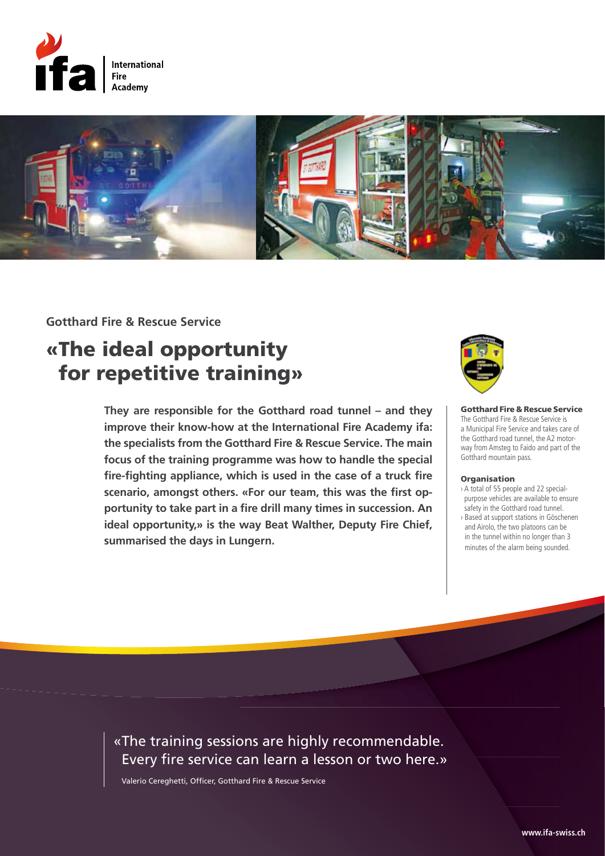



### **Gotthard Fire & Rescue Service**

# «The ideal opportunity for repetitive training»

**They are responsible for the Gotthard road tunnel – and they improve their know-how at the International Fire Academy ifa: the specialists from the Gotthard Fire & Rescue Service. The main focus of the training programme was how to handle the special fire-fighting appliance, which is used in the case of a truck fire scenario, amongst others. «For our team, this was the first opportunity to take part in a fire drill many times in succession. An ideal opportunity,» is the way Beat Walther, Deputy Fire Chief, summarised the days in Lungern.**



Gotthard Fire & Rescue Service The Gotthard Fire & Rescue Service is a Municipal Fire Service and takes care of the Gotthard road tunnel, the A2 motorway from Amsteg to Faido and part of the Gotthard mountain pass.

#### **Organisation**

› A total of 55 people and 22 specialpurpose vehicles are available to ensure safety in the Gotthard road tunnel. › Based at support stations in Göschenen and Airolo, the two platoons can be in the tunnel within no longer than 3 minutes of the alarm being sounded.

### «The training sessions are highly recommendable. Every fire service can learn a lesson or two here.»

Valerio Cereghetti, Officer, Gotthard Fire & Rescue Service